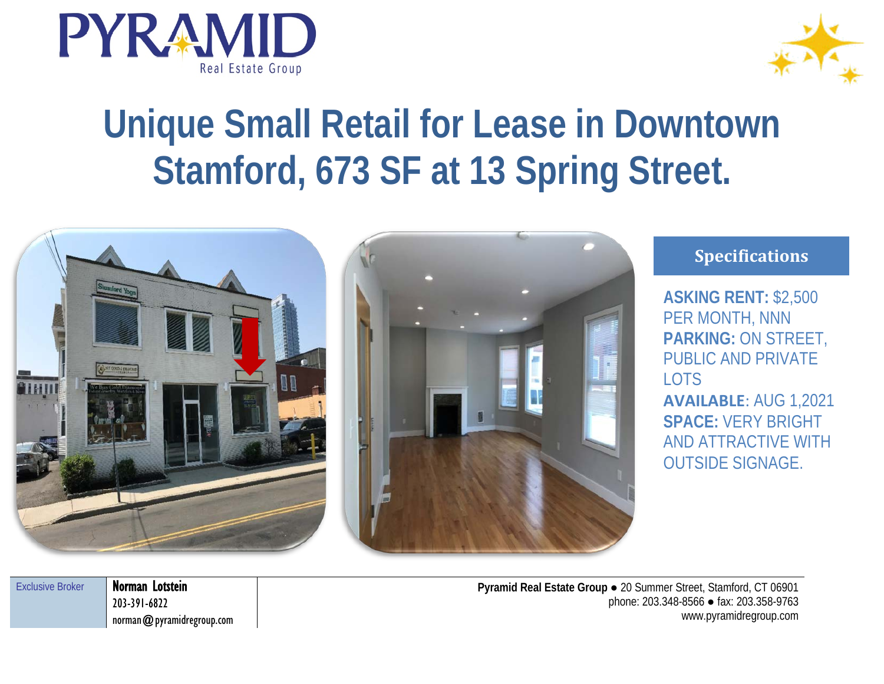



## **Unique Small Retail for Lease in Downtown Stamford, 673 SF at 13 Spring Street.**



## **Specifications**

**ASKING RENT:** \$2,500 PER MONTH, NNN **PARKING:** ON STREET, PUBLIC AND PRIVATE LOTS **AVAILABLE**: AUG 1,2021 **SPACE:** VERY BRIGHT AND ATTRACTIVE WITH

OUTSIDE SIGNAGE.

| <b>Exclusive Broker</b> | N |
|-------------------------|---|
|                         |   |
|                         |   |

Vorman Lotstein 203-391-6822 norman@pyramidregroup.com

**Pyramid Real Estate Group** ● 20 Summer Street, Stamford, CT 06901 phone: 203.348-8566 ● fax: 203.358-9763 www.pyramidregroup.com